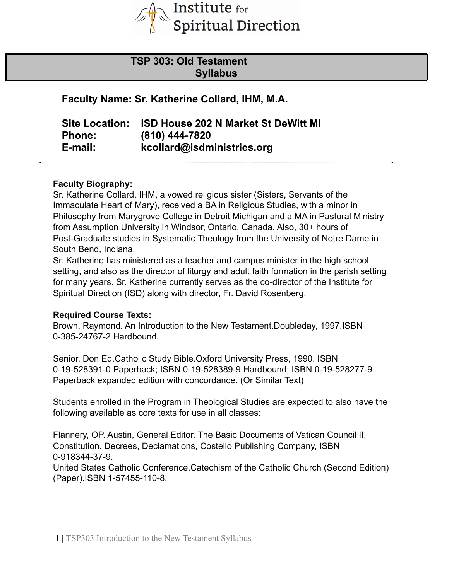

# **TSP 303: Old Testament Syllabus**

**Faculty Name: Sr. Katherine Collard, IHM, M.A.**

| <b>Site Location:</b> | <b>ISD House 202 N Market St DeWitt MI</b> |
|-----------------------|--------------------------------------------|
| <b>Phone:</b>         | (810) 444-7820                             |
| E-mail:               | kcollard@isdministries.org                 |

#### **Faculty Biography:**

Sr. Katherine Collard, IHM, a vowed religious sister (Sisters, Servants of the Immaculate Heart of Mary), received a BA in Religious Studies, with a minor in Philosophy from Marygrove College in Detroit Michigan and a MA in Pastoral Ministry from Assumption University in Windsor, Ontario, Canada. Also, 30+ hours of Post-Graduate studies in Systematic Theology from the University of Notre Dame in South Bend, Indiana.

Sr. Katherine has ministered as a teacher and campus minister in the high school setting, and also as the director of liturgy and adult faith formation in the parish setting for many years. Sr. Katherine currently serves as the co-director of the Institute for Spiritual Direction (ISD) along with director, Fr. David Rosenberg.

#### **Required Course Texts:**

Brown, Raymond. An Introduction to the New Testament.Doubleday, 1997.ISBN 0-385-24767-2 Hardbound.

Senior, Don Ed.Catholic Study Bible.Oxford University Press, 1990. ISBN 0-19-528391-0 Paperback; ISBN 0-19-528389-9 Hardbound; ISBN 0-19-528277-9 Paperback expanded edition with concordance. (Or Similar Text)

Students enrolled in the Program in Theological Studies are expected to also have the following available as core texts for use in all classes:

Flannery, OP. Austin, General Editor. The Basic Documents of Vatican Council II, Constitution. Decrees, Declamations, Costello Publishing Company, ISBN 0-918344-37-9. United States Catholic Conference.Catechism of the Catholic Church (Second Edition) (Paper).ISBN 1-57455-110-8.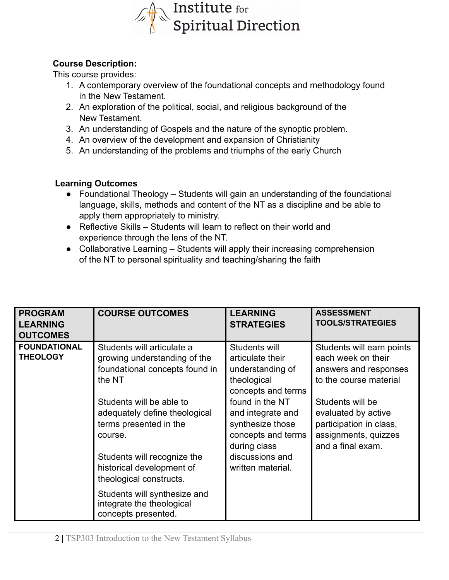

### **Course Description:**

This course provides:

- 1. A contemporary overview of the foundational concepts and methodology found in the New Testament.
- 2. An exploration of the political, social, and religious background of the New Testament.
- 3. An understanding of Gospels and the nature of the synoptic problem.
- 4. An overview of the development and expansion of Christianity
- 5. An understanding of the problems and triumphs of the early Church

### **Learning Outcomes**

- Foundational Theology Students will gain an understanding of the foundational language, skills, methods and content of the NT as a discipline and be able to apply them appropriately to ministry.
- Reflective Skills Students will learn to reflect on their world and experience through the lens of the NT.
- Collaborative Learning Students will apply their increasing comprehension of the NT to personal spirituality and teaching/sharing the faith

| <b>PROGRAM</b><br><b>LEARNING</b><br><b>OUTCOMES</b> | <b>COURSE OUTCOMES</b>                                                                                 | <b>LEARNING</b><br><b>STRATEGIES</b>                                                           | <b>ASSESSMENT</b><br><b>TOOLS/STRATEGIES</b>                                                                    |
|------------------------------------------------------|--------------------------------------------------------------------------------------------------------|------------------------------------------------------------------------------------------------|-----------------------------------------------------------------------------------------------------------------|
| <b>FOUNDATIONAL</b><br><b>THEOLOGY</b>               | Students will articulate a<br>growing understanding of the<br>foundational concepts found in<br>the NT | Students will<br>articulate their<br>understanding of<br>theological<br>concepts and terms     | Students will earn points<br>each week on their<br>answers and responses<br>to the course material              |
|                                                      | Students will be able to<br>adequately define theological<br>terms presented in the<br>course.         | found in the NT<br>and integrate and<br>synthesize those<br>concepts and terms<br>during class | Students will be<br>evaluated by active<br>participation in class,<br>assignments, quizzes<br>and a final exam. |
|                                                      | Students will recognize the<br>historical development of<br>theological constructs.                    | discussions and<br>written material.                                                           |                                                                                                                 |
|                                                      | Students will synthesize and<br>integrate the theological<br>concepts presented.                       |                                                                                                |                                                                                                                 |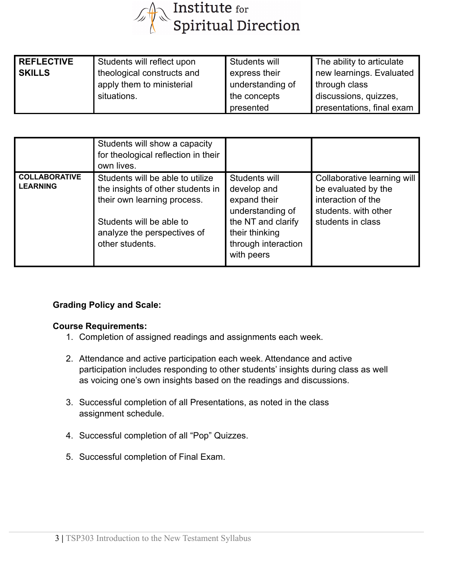

| <b>REFLECTIVE</b> | Students will reflect upon | Students will    | The ability to articulate |
|-------------------|----------------------------|------------------|---------------------------|
| <b>SKILLS</b>     | theological constructs and | express their    | new learnings. Evaluated  |
|                   | apply them to ministerial  | understanding of | through class             |
|                   | situations.                | the concepts     | discussions, quizzes,     |
|                   |                            | presented        | presentations, final exam |

|                                         | Students will show a capacity<br>for theological reflection in their<br>own lives.                                                                                                 |                                                                                                                                               |                                                                                                                       |
|-----------------------------------------|------------------------------------------------------------------------------------------------------------------------------------------------------------------------------------|-----------------------------------------------------------------------------------------------------------------------------------------------|-----------------------------------------------------------------------------------------------------------------------|
| <b>COLLABORATIVE</b><br><b>LEARNING</b> | Students will be able to utilize<br>the insights of other students in<br>their own learning process.<br>Students will be able to<br>analyze the perspectives of<br>other students. | Students will<br>develop and<br>expand their<br>understanding of<br>the NT and clarify<br>their thinking<br>through interaction<br>with peers | Collaborative learning will<br>be evaluated by the<br>interaction of the<br>students, with other<br>students in class |

### **Grading Policy and Scale:**

#### **Course Requirements:**

- 1. Completion of assigned readings and assignments each week.
- 2. Attendance and active participation each week. Attendance and active participation includes responding to other students' insights during class as well as voicing one's own insights based on the readings and discussions.
- 3. Successful completion of all Presentations, as noted in the class assignment schedule.
- 4. Successful completion of all "Pop" Quizzes.
- 5. Successful completion of Final Exam.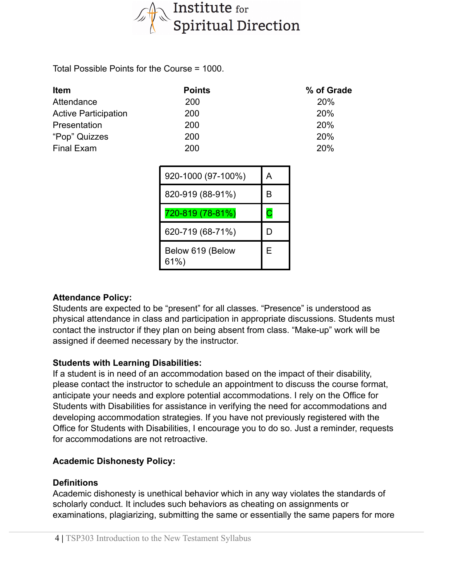

Total Possible Points for the Course = 1000.

| <b>Item</b>                 | <b>Points</b> | % of Grade |
|-----------------------------|---------------|------------|
| Attendance                  | 200           | <b>20%</b> |
| <b>Active Participation</b> | 200           | <b>20%</b> |
| Presentation                | 200           | <b>20%</b> |
| "Pop" Quizzes               | 200           | <b>20%</b> |
| Final Exam                  | 200           | 20%        |

| 920-1000 (97-100%)       | А |
|--------------------------|---|
| 820-919 (88-91%)         | в |
| 720-819 (78-81%)         | С |
| 620-719 (68-71%)         |   |
| Below 619 (Below<br>61%) | Е |

#### **Attendance Policy:**

Students are expected to be "present" for all classes. "Presence" is understood as physical attendance in class and participation in appropriate discussions. Students must contact the instructor if they plan on being absent from class. "Make-up" work will be assigned if deemed necessary by the instructor.

#### **Students with Learning Disabilities:**

If a student is in need of an accommodation based on the impact of their disability, please contact the instructor to schedule an appointment to discuss the course format, anticipate your needs and explore potential accommodations. I rely on the Office for Students with Disabilities for assistance in verifying the need for accommodations and developing accommodation strategies. If you have not previously registered with the Office for Students with Disabilities, I encourage you to do so. Just a reminder, requests for accommodations are not retroactive.

#### **Academic Dishonesty Policy:**

#### **Definitions**

Academic dishonesty is unethical behavior which in any way violates the standards of scholarly conduct. It includes such behaviors as cheating on assignments or examinations, plagiarizing, submitting the same or essentially the same papers for more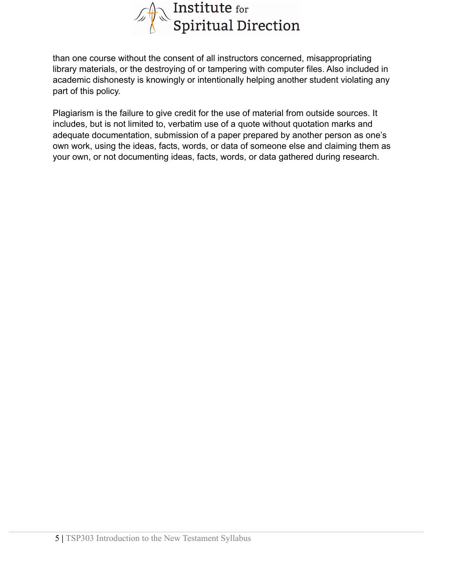

than one course without the consent of all instructors concerned, misappropriating library materials, or the destroying of or tampering with computer files. Also included in academic dishonesty is knowingly or intentionally helping another student violating any part of this policy.

Plagiarism is the failure to give credit for the use of material from outside sources. It includes, but is not limited to, verbatim use of a quote without quotation marks and adequate documentation, submission of a paper prepared by another person as one's own work, using the ideas, facts, words, or data of someone else and claiming them as your own, or not documenting ideas, facts, words, or data gathered during research.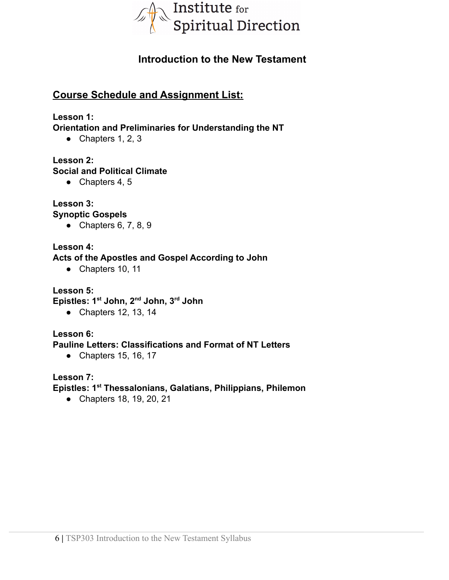

# **Introduction to the New Testament**

## **Course Schedule and Assignment List:**

#### **Lesson 1:**

**Orientation and Preliminaries for Understanding the NT**

• Chapters  $1, 2, 3$ 

#### **Lesson 2:**

#### **Social and Political Climate**

 $\bullet$  Chapters 4, 5

## **Lesson 3:**

### **Synoptic Gospels**

• Chapters  $6, 7, 8, 9$ 

#### **Lesson 4:**

#### **Acts of the Apostles and Gospel According to John**

● Chapters 10, 11

#### **Lesson 5:**

**Epistles: 1st John, 2nd John, 3rd John**

● Chapters 12, 13, 14

### **Lesson 6:**

#### **Pauline Letters: Classifications and Format of NT Letters**

● Chapters 15, 16, 17

#### **Lesson 7:**

#### **Epistles: 1st Thessalonians, Galatians, Philippians, Philemon**

● Chapters 18, 19, 20, 21